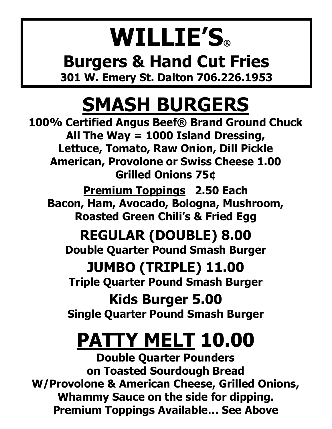#### **WILLIE'S® Burgers & Hand Cut Fries 301 W. Emery St. Dalton 706.226.1953**

#### **SMASH BURGERS**

**100% Certified Angus Beef® Brand Ground Chuck All The Way = 1000 Island Dressing, Lettuce, Tomato, Raw Onion, Dill Pickle American, Provolone or Swiss Cheese 1.00 Grilled Onions 75¢ Premium Toppings 2.50 Each**

**Bacon, Ham, Avocado, Bologna, Mushroom, Roasted Green Chili's & Fried Egg**

#### **REGULAR (DOUBLE) 8.00**

**Double Quarter Pound Smash Burger**

**JUMBO (TRIPLE) 11.00 Triple Quarter Pound Smash Burger**

**Kids Burger 5.00 Single Quarter Pound Smash Burger**

### **PATTY MELT 10.00**

**Double Quarter Pounders on Toasted Sourdough Bread W/Provolone & American Cheese, Grilled Onions, Whammy Sauce on the side for dipping. Premium Toppings Available… See Above**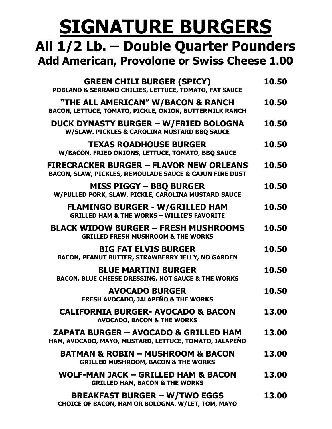#### **SIGNATURE BURGERS**

#### **All 1/2 Lb. – Double Quarter Pounders Add American, Provolone or Swiss Cheese 1.00**

| <b>GREEN CHILI BURGER (SPICY)</b><br>POBLANO & SERRANO CHILIES, LETTUCE, TOMATO, FAT SAUCE                 | 10.50 |
|------------------------------------------------------------------------------------------------------------|-------|
| "THE ALL AMERICAN" W/BACON & RANCH<br>BACON, LETTUCE, TOMATO, PICKLE, ONION, BUTTERMILK RANCH              | 10.50 |
| DUCK DYNASTY BURGER - W/FRIED BOLOGNA<br>W/SLAW. PICKLES & CAROLINA MUSTARD BBQ SAUCE                      | 10.50 |
| <b>TEXAS ROADHOUSE BURGER</b><br>W/BACON, FRIED ONIONS, LETTUCE, TOMATO, BBQ SAUCE                         | 10.50 |
| <b>FIRECRACKER BURGER - FLAVOR NEW ORLEANS</b><br>BACON, SLAW, PICKLES, REMOULADE SAUCE & CAJUN FIRE DUST  | 10.50 |
| <b>MISS PIGGY - BBQ BURGER</b><br>W/PULLED PORK, SLAW, PICKLE, CAROLINA MUSTARD SAUCE                      | 10.50 |
| <b>FLAMINGO BURGER - W/GRILLED HAM</b><br><b>GRILLED HAM &amp; THE WORKS - WILLIE'S FAVORITE</b>           | 10.50 |
| <b>BLACK WIDOW BURGER - FRESH MUSHROOMS</b><br><b>GRILLED FRESH MUSHROOM &amp; THE WORKS</b>               | 10.50 |
| <b>BIG FAT ELVIS BURGER</b><br>BACON, PEANUT BUTTER, STRAWBERRY JELLY, NO GARDEN                           | 10.50 |
| <b>BLUE MARTINI BURGER</b><br>BACON, BLUE CHEESE DRESSING, HOT SAUCE & THE WORKS                           | 10.50 |
| <b>AVOCADO BURGER</b><br>FRESH AVOCADO, JALAPEÑO & THE WORKS                                               | 10.50 |
| <b>CALIFORNIA BURGER- AVOCADO &amp; BACON</b><br><b>AVOCADO, BACON &amp; THE WORKS</b>                     | 13.00 |
| <b>ZAPATA BURGER – AVOCADO &amp; GRILLED HAM</b><br>HAM, AVOCADO, MAYO, MUSTARD, LETTUCE, TOMATO, JALAPEÑO | 13.00 |
| <b>BATMAN &amp; ROBIN - MUSHROOM &amp; BACON</b><br><b>GRILLED MUSHROOM, BACON &amp; THE WORKS</b>         | 13.00 |
| WOLF-MAN JACK – GRILLED HAM & BACON<br><b>GRILLED HAM, BACON &amp; THE WORKS</b>                           | 13.00 |
| <b>BREAKFAST BURGER – W/TWO EGGS</b><br>CHOICE OF BACON, HAM OR BOLOGNA. W/LET, TOM, MAYO                  | 13.00 |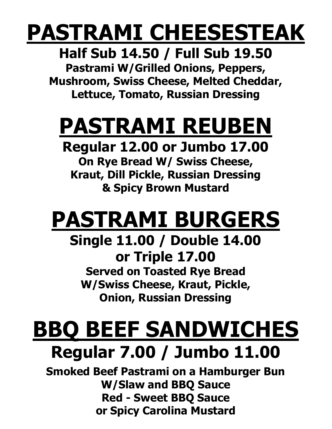### **PASTRAMI CHEESESTEAK**

**Half Sub 14.50 / Full Sub 19.50 Pastrami W/Grilled Onions, Peppers, Mushroom, Swiss Cheese, Melted Cheddar,**

**Lettuce, Tomato, Russian Dressing**

# **PASTRAMI REUBEN**

**Regular 12.00 or Jumbo 17.00**

**On Rye Bread W/ Swiss Cheese, Kraut, Dill Pickle, Russian Dressing & Spicy Brown Mustard**

# **PASTRAMI BURGERS**

**Single 11.00 / Double 14.00 or Triple 17.00 Served on Toasted Rye Bread W/Swiss Cheese, Kraut, Pickle, Onion, Russian Dressing**

# **BBQ BEEF SANDWICHES**

#### **Regular 7.00 / Jumbo 11.00**

**Smoked Beef Pastrami on a Hamburger Bun W/Slaw and BBQ Sauce Red - Sweet BBQ Sauce or Spicy Carolina Mustard**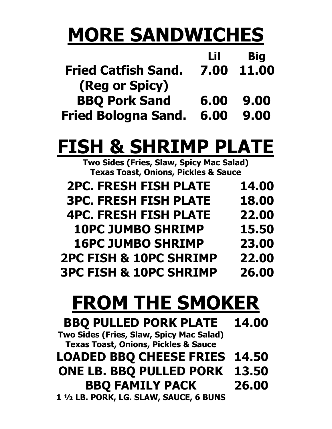#### **MORE SANDWICHES**

|                            | Lil  | <b>Big</b> |
|----------------------------|------|------------|
| <b>Fried Catfish Sand.</b> | 7.00 | 11.00      |
| (Reg or Spicy)             |      |            |
| <b>BBQ Pork Sand</b>       | 6.00 | 9.00       |
| <b>Fried Bologna Sand.</b> | 6.00 | 9.00       |

#### **FISH & SHRIMP PLATE**

**Two Sides (Fries, Slaw, Spicy Mac Salad) Texas Toast, Onions, Pickles & Sauce**

| <b>2PC. FRESH FISH PLATE</b>      | 14.00 |
|-----------------------------------|-------|
| <b>3PC. FRESH FISH PLATE</b>      | 18.00 |
| <b>4PC. FRESH FISH PLATE</b>      | 22.00 |
| <b>10PC JUMBO SHRIMP</b>          | 15.50 |
| <b>16PC JUMBO SHRIMP</b>          | 23.00 |
| <b>2PC FISH &amp; 10PC SHRIMP</b> | 22.00 |
| <b>3PC FISH &amp; 10PC SHRIMP</b> | 26.00 |

#### **FROM THE SMOKER**

| <b>BBQ PULLED PORK PLATE</b>                    | 14.00 |
|-------------------------------------------------|-------|
| Two Sides (Fries, Slaw, Spicy Mac Salad)        |       |
| <b>Texas Toast, Onions, Pickles &amp; Sauce</b> |       |
| <b>LOADED BBQ CHEESE FRIES</b>                  | 14.50 |
| <b>ONE LB. BBQ PULLED PORK</b>                  | 13.50 |
| <b>BBQ FAMILY PACK</b>                          | 26.00 |
| 1 1/2 LB. PORK, LG. SLAW, SAUCE, 6 BUNS         |       |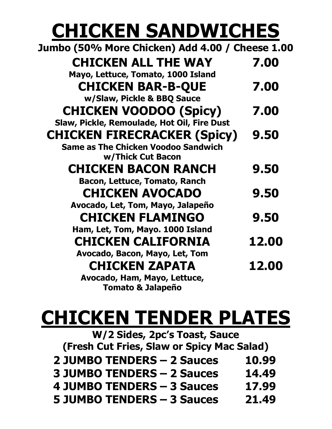#### **CHICKEN SANDWICHES**

| Jumbo (50% More Chicken) Add 4.00 / Cheese 1.00 |              |
|-------------------------------------------------|--------------|
| <b>CHICKEN ALL THE WAY</b>                      | 7.00         |
| Mayo, Lettuce, Tomato, 1000 Island              |              |
| <b>CHICKEN BAR-B-QUE</b>                        | 7.00         |
| w/Slaw, Pickle & BBQ Sauce                      |              |
| <b>CHICKEN VOODOO (Spicy)</b>                   | 7.00         |
| Slaw, Pickle, Remoulade, Hot Oil, Fire Dust     |              |
| <b>CHICKEN FIRECRACKER (Spicy)</b>              | 9.50         |
| <b>Same as The Chicken Voodoo Sandwich</b>      |              |
| w/Thick Cut Bacon                               |              |
| <b>CHICKEN BACON RANCH</b>                      | 9.50         |
| <b>Bacon, Lettuce, Tomato, Ranch</b>            |              |
| <b>CHICKEN AVOCADO</b>                          | 9.50         |
| Avocado, Let, Tom, Mayo, Jalapeño               |              |
| <b>CHICKEN FLAMINGO</b>                         | 9.50         |
| Ham, Let, Tom, Mayo. 1000 Island                |              |
| <b>CHICKEN CALIFORNIA</b>                       | 12.00        |
| Avocado, Bacon, Mayo, Let, Tom                  |              |
| <b>CHICKEN ZAPATA</b>                           | <b>12.00</b> |
| Avocado, Ham, Mayo, Lettuce,                    |              |
| <b>Tomato &amp; Jalapeño</b>                    |              |

#### **CHICKEN TENDER PLATES**

| W/2 Sides, 2pc's Toast, Sauce              |       |
|--------------------------------------------|-------|
| (Fresh Cut Fries, Slaw or Spicy Mac Salad) |       |
| <b>2 JUMBO TENDERS - 2 Sauces</b>          | 10.99 |
| <b>3 JUMBO TENDERS - 2 Sauces</b>          | 14.49 |
| 4 JUMBO TENDERS - 3 Sauces                 | 17.99 |
| <b>5 JUMBO TENDERS - 3 Sauces</b>          | 21.49 |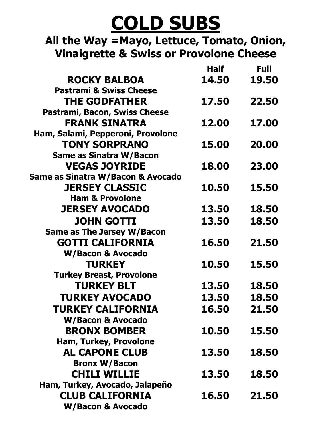#### **COLD SUBS**

**All the Way =Mayo, Lettuce, Tomato, Onion, Vinaigrette & Swiss or Provolone Cheese**

|                                    | <b>Half</b> | <b>Full</b> |
|------------------------------------|-------------|-------------|
| <b>ROCKY BALBOA</b>                | 14.50       | 19.50       |
| <b>Pastrami &amp; Swiss Cheese</b> |             |             |
| <b>THE GODFATHER</b>               | 17.50       | 22.50       |
| Pastrami, Bacon, Swiss Cheese      |             |             |
| <b>FRANK SINATRA</b>               | 12.00       | 17.00       |
| Ham, Salami, Pepperoni, Provolone  |             |             |
| <b>TONY SORPRANO</b>               | 15.00       | 20.00       |
| <b>Same as Sinatra W/Bacon</b>     |             |             |
| <b>VEGAS JOYRIDE</b>               | 18.00       | 23.00       |
| Same as Sinatra W/Bacon & Avocado  |             |             |
| <b>JERSEY CLASSIC</b>              | 10.50       | 15.50       |
| <b>Ham &amp; Provolone</b>         |             |             |
| <b>JERSEY AVOCADO</b>              | 13.50       | 18.50       |
| <b>JOHN GOTTI</b>                  | 13.50       | 18.50       |
| <b>Same as The Jersey W/Bacon</b>  |             |             |
| <b>GOTTI CALIFORNIA</b>            | 16.50       | 21.50       |
| W/Bacon & Avocado                  |             |             |
| <b>TURKEY</b>                      | 10.50       | 15.50       |
| <b>Turkey Breast, Provolone</b>    |             |             |
| <b>TURKEY BLT</b>                  | 13.50       | 18.50       |
| <b>TURKEY AVOCADO</b>              | 13.50       | 18.50       |
| <b>TURKEY CALIFORNIA</b>           | 16.50       | 21.50       |
| W/Bacon & Avocado                  |             |             |
| <b>BRONX BOMBER</b>                | 10.50       | 15.50       |
| Ham, Turkey, Provolone             |             |             |
| <b>AL CAPONE CLUB</b>              | 13.50       | 18.50       |
| <b>Bronx W/Bacon</b>               |             |             |
| <b>CHILI WILLIE</b>                | 13.50       | 18.50       |
| Ham, Turkey, Avocado, Jalapeño     |             |             |
| <b>CLUB CALIFORNIA</b>             | 16.50       | 21.50       |
| W/Bacon & Avocado                  |             |             |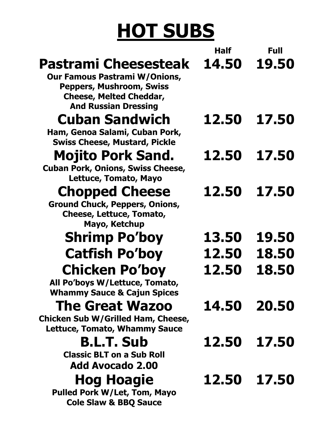### **HOT SUBS**

|                                                                                                                                                                  | Half  | Full  |
|------------------------------------------------------------------------------------------------------------------------------------------------------------------|-------|-------|
| Pastrami Cheesesteak<br><b>Our Famous Pastrami W/Onions,</b><br><b>Peppers, Mushroom, Swiss</b><br><b>Cheese, Melted Cheddar,</b><br><b>And Russian Dressing</b> | 14.50 | 19,50 |
| <b>Cuban Sandwich</b><br>Ham, Genoa Salami, Cuban Pork,<br><b>Swiss Cheese, Mustard, Pickle</b>                                                                  | 12.50 | 17.50 |
| <b>Mojito Pork Sand.</b><br><b>Cuban Pork, Onions, Swiss Cheese,</b><br>Lettuce, Tomato, Mayo                                                                    | 12.50 | 17.50 |
| <b>Chopped Cheese</b><br><b>Ground Chuck, Peppers, Onions,</b><br>Cheese, Lettuce, Tomato,<br>Mayo, Ketchup                                                      | 12.50 | 17.50 |
| <b>Shrimp Po'boy</b>                                                                                                                                             | 13.50 | 19.50 |
| <b>Catfish Po'boy</b>                                                                                                                                            | 12.50 | 18.50 |
| <b>Chicken Po'boy</b><br>All Po'boys W/Lettuce, Tomato,<br><b>Whammy Sauce &amp; Cajun Spices</b>                                                                | 12.50 | 18.50 |
| <b>The Great Wazoo</b><br>Chicken Sub W/Grilled Ham, Cheese,<br><b>Lettuce, Tomato, Whammy Sauce</b>                                                             | 14.50 | 20.50 |
| <b>B.L.T. Sub</b><br><b>Classic BLT on a Sub Roll</b><br>Add Avocado 2.00                                                                                        | 12.50 | 17.50 |
| <b>Hog Hoagie</b><br><b>Pulled Pork W/Let, Tom, Mayo</b><br><b>Cole Slaw &amp; BBQ Sauce</b>                                                                     | 12.50 | 17.50 |